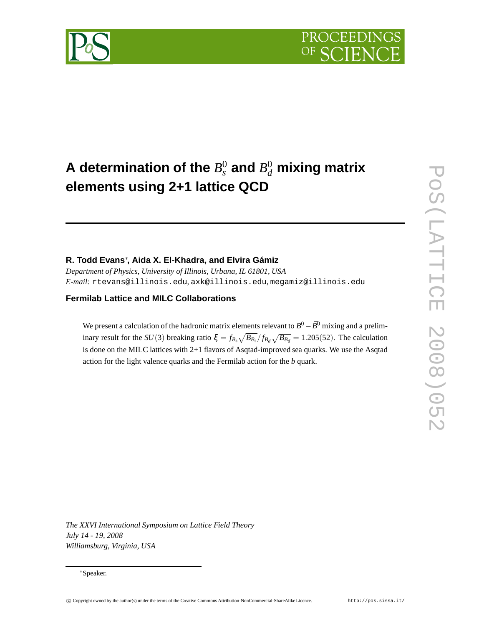# **A** determination of the  $B^0_s$  and  $B^0_d$  mixing matrix **elements using 2+1 lattice QCD**

### **R. Todd Evans**<sup>∗</sup> **, Aida X. El-Khadra, and Elvira Gámiz**

*Department of Physics, University of Illinois, Urbana, IL 61801, USA E-mail:* rtevans@illinois.edu*,* axk@illinois.edu*,* megamiz@illinois.edu

#### **Fermilab Lattice and MILC Collaborations**

We present a calculation of the hadronic matrix elements relevant to  $B^0 - \bar{B}^0$  mixing and a preliminary result for the *SU*(3) breaking ratio  $\xi = f_{B_s} \sqrt{B_{B_s}}/f_{B_d} \sqrt{B_{B_d}} = 1.205(52)$ . The calculation is done on the MILC lattices with 2+1 flavors of Asqtad-improved sea quarks. We use the Asqtad action for the light valence quarks and the Fermilab action for the *b* quark.

 $\overline{\mathsf{C}}$ 

*The XXVI International Symposium on Lattice Field Theory July 14 - 19, 2008 Williamsburg, Virginia, USA*

<sup>∗</sup>Speaker.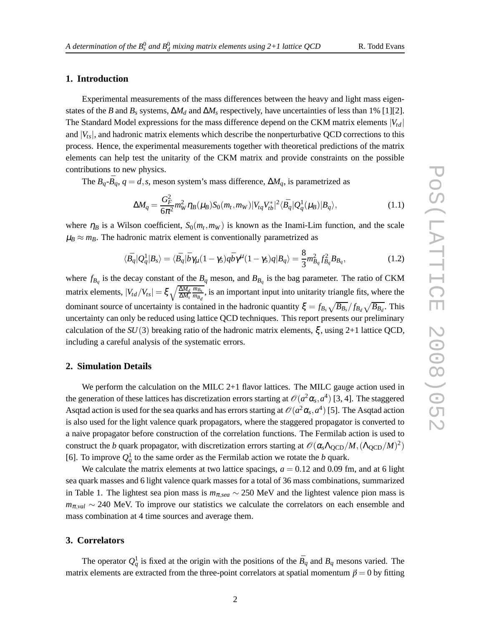## **1. Introduction**

Experimental measurements of the mass differences between the heavy and light mass eigenstates of the *B* and  $B_s$  systems,  $\Delta M_d$  and  $\Delta M_s$  respectively, have uncertainties of less than 1% [1][2]. The Standard Model expressions for the mass difference depend on the CKM matrix elements  $|V_{td}|$ and  $|V_{ts}|$ , and hadronic matrix elements which describe the nonperturbative QCD corrections to this process. Hence, the experimental measurements together with theoretical predictions of the matrix elements can help test the unitarity of the CKM matrix and provide constraints on the possible contributions to new physics.

The  $B_q$ - $\bar{B}_q$ ,  $q = d$ , *s*, meson system's mass difference,  $\Delta M_q$ , is parametrized as

$$
\Delta M_q = \frac{G_F^2}{6\pi^2} m_W^2 \eta_B(\mu_B) S_0(m_t, m_W) |V_{tq} V_{tb}^*|^2 \langle \bar{B}_q | Q_q^1(\mu_B) | B_q \rangle, \tag{1.1}
$$

where  $\eta_B$  is a Wilson coefficient,  $S_0(m_t, m_W)$  is known as the Inami-Lim function, and the scale  $\mu_B \approx m_B$ . The hadronic matrix element is conventionally parametrized as

$$
\langle \bar{B}_q | \mathcal{Q}_q^1 | B_s \rangle = \langle \bar{B}_q | \bar{b} \gamma_\mu (1 - \gamma_5) q \bar{b} \gamma^\mu (1 - \gamma_5) q | B_q \rangle = \frac{8}{3} m_{B_q}^2 f_{B_q}^2 B_{B_q}, \tag{1.2}
$$

where  $f_{B_q}$  is the decay constant of the  $B_q$  meson, and  $B_{B_q}$  is the bag parameter. The ratio of CKM matrix elements,  $|V_{td}/V_{ts}| = \xi \sqrt{\frac{\Delta M_d}{\Delta M_s}}$ *mBs*  $\frac{m_{B_s}}{m_{B_d}}$ , is an important input into unitarity triangle fits, where the dominant source of uncertainty is contained in the hadronic quantity  $\xi = f_{B_s} \sqrt{B_{B_s}}/f_{B_d} \sqrt{B_{B_d}}$ . This uncertainty can only be reduced using lattice QCD techniques. This report presents our preliminary calculation of the  $SU(3)$  breaking ratio of the hadronic matrix elements,  $\xi$ , using 2+1 lattice QCD, including a careful analysis of the systematic errors.

#### **2. Simulation Details**

We perform the calculation on the MILC  $2+1$  flavor lattices. The MILC gauge action used in the generation of these lattices has discretization errors starting at  $\mathcal{O}(a^2\alpha_s, a^4)$  [3, 4]. The staggered Asqtad action is used for the sea quarks and has errors starting at  $\mathcal{O}(a^2\alpha_s, a^4)$  [5]. The Asqtad action is also used for the light valence quark propagators, where the staggered propagator is converted to a naive propagator before construction of the correlation functions. The Fermilab action is used to construct the *b* quark propagator, with discretization errors starting at  $\mathcal{O}(\alpha_s \Lambda_{QCD}/M, (\Lambda_{QCD}/M)^2)$ [6]. To improve  $Q_q^1$  to the same order as the Fermilab action we rotate the *b* quark.

We calculate the matrix elements at two lattice spacings,  $a = 0.12$  and 0.09 fm, and at 6 light sea quark masses and 6 light valence quark masses for a total of 36 mass combinations, summarized in Table 1. The lightest sea pion mass is  $m_{\pi,sea} \sim 250$  MeV and the lightest valence pion mass is *m*π,*val* ∼ 240 MeV. To improve our statistics we calculate the correlators on each ensemble and mass combination at 4 time sources and average them.

#### **3. Correlators**

The operator  $Q_q^1$  is fixed at the origin with the positions of the  $B_q$  and  $B_q$  mesons varied. The matrix elements are extracted from the three-point correlators at spatial momentum  $\vec{p} = 0$  by fitting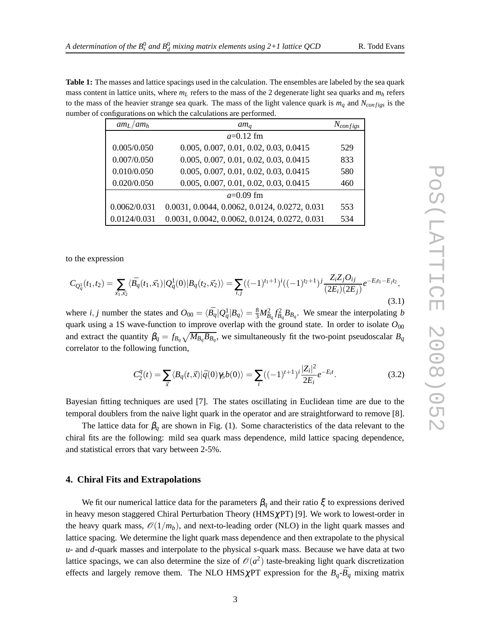**Table 1:** The masses and lattice spacings used in the calculation. The ensembles are labeled by the sea quark mass content in lattice units, where  $m<sub>L</sub>$  refers to the mass of the 2 degenerate light sea quarks and  $m<sub>h</sub>$  refers to the mass of the heavier strange sea quark. The mass of the light valence quark is  $m_q$  and  $N_{configs}$  is the number of configurations on which the calculations are performed.

| $am_l / am_h$ | $am_a$                                        | $N_{configs}$ |  |  |  |
|---------------|-----------------------------------------------|---------------|--|--|--|
|               | $a=0.12$ fm                                   |               |  |  |  |
| 0.005/0.050   | 0.005, 0.007, 0.01, 0.02, 0.03, 0.0415        | 529           |  |  |  |
| 0.007/0.050   | 0.005, 0.007, 0.01, 0.02, 0.03, 0.0415        | 833           |  |  |  |
| 0.010/0.050   | 0.005, 0.007, 0.01, 0.02, 0.03, 0.0415        | 580           |  |  |  |
| 0.020/0.050   | 0.005, 0.007, 0.01, 0.02, 0.03, 0.0415        | 460           |  |  |  |
| $a=0.09$ fm   |                                               |               |  |  |  |
| 0.0062/0.031  | 0.0031, 0.0044, 0.0062, 0.0124, 0.0272, 0.031 | 553           |  |  |  |
| 0.0124/0.031  | 0.0031, 0.0042, 0.0062, 0.0124, 0.0272, 0.031 | 534           |  |  |  |

to the expression

$$
C_{Q_q^1}(t_1, t_2) = \sum_{\vec{x_1}, \vec{x_2}} \langle \vec{B}_q(t_1, \vec{x_1}) | Q_q^1(0) | B_q(t_2, \vec{x_2}) \rangle = \sum_{i,j} ((-1)^{t_1+1})^i ((-1)^{t_2+1})^j \frac{Z_i Z_j O_{ij}}{(2E_i)(2E_j)} e^{-E_i t_1 - E_j t_2},
$$
\n(3.1)

where *i*, *j* number the states and  $O_{00} = \langle \bar{B_q} | Q_q^1 | B_q \rangle = \frac{8}{3} M_{B_q}^2 f_{B_q}^2 B_{B_q}$ . We smear the interpolating *b* quark using a 1S wave-function to improve overlap with the ground state. In order to isolate  $O_{00}$ and extract the quantity  $\beta_q = f_{B_q} \sqrt{M_{B_q} B_{B_q}}$ , we simultaneously fit the two-point pseudoscalar  $B_q$ correlator to the following function,

$$
C_2^q(t) = \sum_{\vec{x}} \langle B_q(t, \vec{x}) | \bar{q}(0) \gamma_5 b(0) \rangle = \sum_i ((-1)^{t+1})^i \frac{|Z_i|^2}{2E_i} e^{-E_i t}.
$$
 (3.2)

Bayesian fitting techniques are used [7]. The states oscillating in Euclidean time are due to the temporal doublers from the naive light quark in the operator and are straightforward to remove [8].

The lattice data for  $\beta_q$  are shown in Fig. (1). Some characteristics of the data relevant to the chiral fits are the following: mild sea quark mass dependence, mild lattice spacing dependence, and statistical errors that vary between 2-5%.

#### **4. Chiral Fits and Extrapolations**

We fit our numerical lattice data for the parameters  $\beta_q$  and their ratio  $\xi$  to expressions derived in heavy meson staggered Chiral Perturbation Theory ( $HMS\chi PT$ ) [9]. We work to lowest-order in the heavy quark mass,  $\mathcal{O}(1/m_b)$ , and next-to-leading order (NLO) in the light quark masses and lattice spacing. We determine the light quark mass dependence and then extrapolate to the physical *u*- and *d*-quark masses and interpolate to the physical *s*-quark mass. Because we have data at two lattice spacings, we can also determine the size of  $\mathcal{O}(a^2)$  taste-breaking light quark discretization effects and largely remove them. The NLO HMS  $\chi$ PT expression for the  $B_q$ - $\bar{B}_q$  mixing matrix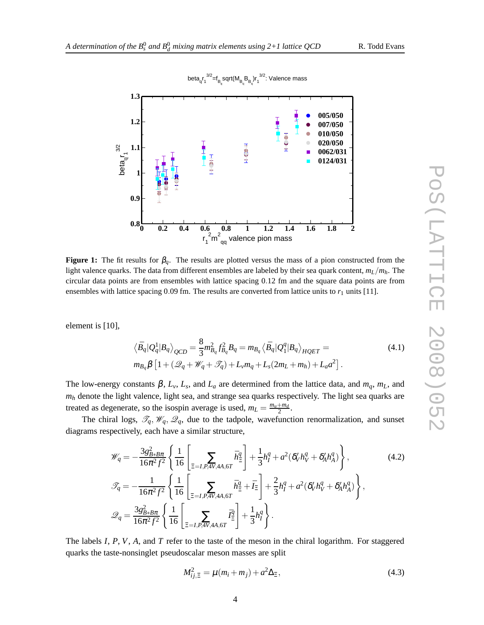

beta $_{\mathsf{q}}$ r $_{\mathsf{q}}$  $^{3/2}$ =f $_{\mathsf{B}_{\mathsf{q}}}$ sqrt(M $_{\mathsf{B}_{\mathsf{q}}}$ B $_{\mathsf{q}}$ )r $_{\mathsf{q}}$  $^{3/2}$ : Valence mass

**Figure 1:** The fit results for  $\beta_q$ . The results are plotted versus the mass of a pion constructed from the light valence quarks. The data from different ensembles are labeled by their sea quark content,  $m_L/m_h$ . The circular data points are from ensembles with lattice spacing 0.12 fm and the square data points are from ensembles with lattice spacing  $0.09$  fm. The results are converted from lattice units to  $r_1$  units [11].

element is [10],

$$
\langle \bar{B}_q | Q_q^1 | B_q \rangle_{QCD} = \frac{8}{3} m_{B_q}^2 f_{B_q}^2 B_q = m_{B_q} \langle \bar{B}_q | Q_1^q | B_q \rangle_{HQET} = \tag{4.1}
$$

$$
m_{B_q}\beta \left[1+(\mathscr{Q}_q+\mathscr{W}_q+\mathscr{T}_q)+L_v m_q+L_s(2m_L+m_h)+L_a a^2\right].
$$

The low-energy constants  $\beta$ ,  $L_v$ ,  $L_s$ , and  $L_a$  are determined from the lattice data, and  $m_q$ ,  $m_L$ , and *m<sup>h</sup>* denote the light valence, light sea, and strange sea quarks respectively. The light sea quarks are treated as degenerate, so the isospin average is used,  $m_L = \frac{m_u + m_d}{2}$ .

The chiral logs,  $\mathcal{T}_q$ ,  $\mathcal{W}_q$ ,  $\mathcal{Q}_q$ , due to the tadpole, wavefunction renormalization, and sunset diagrams respectively, each have a similar structure,

$$
\mathcal{W}_q = -\frac{3g_{B*B\pi}^2}{16\pi^2 f^2} \left\{ \frac{1}{16} \left[ \sum_{\Xi=I, P, 4V, 4A, 6T} \bar{h}_{\Xi}^q \right] + \frac{1}{3} h_I^q + a^2 (\delta_V' h_V^q + \delta_A' h_A^q) \right\},
$$
\n
$$
\mathcal{F}_q = -\frac{1}{16\pi^2 f^2} \left\{ \frac{1}{16} \left[ \sum_{\Xi=I, P, 4V, 4A, 6T} \bar{h}_{\Xi}^q + \bar{I}_{\Xi} \right] + \frac{2}{3} h_I^q + a^2 (\delta_V' h_V^q + \delta_A' h_A^q) \right\},
$$
\n
$$
\mathcal{Q}_q = \frac{3g_{B*B\pi}^2}{16\pi^2 f^2} \left\{ \frac{1}{16} \left[ \sum_{\Xi=I, P, 4V, 4A, 6T} \bar{I}_{\Xi}^q \right] + \frac{1}{3} h_I^q \right\}.
$$
\n(4.2)

The labels *I*, *P*, *V*, *A*, and *T* refer to the taste of the meson in the chiral logarithm. For staggered quarks the taste-nonsinglet pseudoscalar meson masses are split

$$
M_{ij,\Xi}^2 = \mu(m_i + m_j) + a^2 \Delta_{\Xi},\tag{4.3}
$$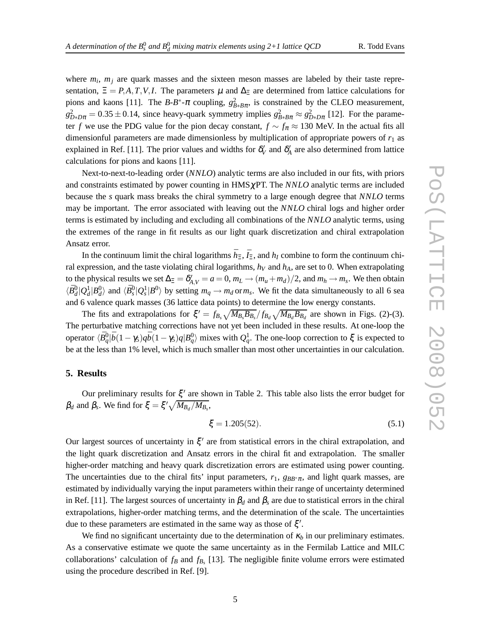where  $m_i$ ,  $m_j$  are quark masses and the sixteen meson masses are labeled by their taste representation,  $\Xi = P, A, T, V, I$ . The parameters  $\mu$  and  $\Delta_{\Xi}$  are determined from lattice calculations for pions and kaons [11]. The *B*-*B*<sup>\*</sup>- $\pi$  coupling,  $g_{B*B\pi}^2$ , is constrained by the CLEO measurement,  $g_{D*D\pi}^2 = 0.35 \pm 0.14$ , since heavy-quark symmetry implies  $g_{B*B\pi}^2 \approx g_{D*D\pi}^2$  [12]. For the parameter *f* we use the PDG value for the pion decay constant,  $f \sim f_\pi \approx 130$  MeV. In the actual fits all dimensionful parameters are made dimensionless by multiplication of appropriate powers of  $r<sub>1</sub>$  as explained in Ref. [11]. The prior values and widths for  $\delta'_V$  and  $\delta'_A$  are also determined from lattice calculations for pions and kaons [11].

Next-to-next-to-leading order (*NNLO*) analytic terms are also included in our fits, with priors and constraints estimated by power counting in  $HMS\chi PT$ . The *NNLO* analytic terms are included because the *s* quark mass breaks the chiral symmetry to a large enough degree that *NNLO* terms may be important. The error associated with leaving out the *NNLO* chiral logs and higher order terms is estimated by including and excluding all combinations of the *NNLO* analytic terms, using the extremes of the range in fit results as our light quark discretization and chiral extrapolation Ansatz error.

In the continuum limit the chiral logarithms  $\bar{h}_{\Xi}$ ,  $\bar{I}_{\Xi}$ , and  $h_I$  combine to form the continuum chiral expression, and the taste violating chiral logarithms,  $h<sub>V</sub>$  and  $h<sub>A</sub>$ , are set to 0. When extrapolating to the physical results we set  $\Delta_{\Xi} = \delta'_{A,V} = a = 0$ ,  $m_L \to (m_u + m_d)/2$ , and  $m_h \to m_s$ . We then obtain  $\langle \bar{B}_d^0 | Q_d^1 | B_d^0 \rangle$  and  $\langle \bar{B}_s^0 | Q_s^1 | B_0^0 \rangle$  by setting  $m_q \to m_d$  or  $m_s$ . We fit the data simultaneously to all 6 sea and 6 valence quark masses (36 lattice data points) to determine the low energy constants.

The fits and extrapolations for  $\xi' = f_{B_s} \sqrt{M_{B_s} B_{B_s}} / f_{B_d} \sqrt{M_{B_d} B_{B_d}}$  are shown in Figs. (2)-(3). The perturbative matching corrections have not yet been included in these results. At one-loop the operator  $\langle \bar{B}^0_q | \bar{b}(1-\gamma_5)q\bar{b}(1-\gamma_5)q|B^0_q\rangle$  mixes with  $Q^1_q$ . The one-loop correction to  $\xi$  is expected to be at the less than 1% level, which is much smaller than most other uncertainties in our calculation.

#### **5. Results**

Our preliminary results for  $\xi'$  are shown in Table 2. This table also lists the error budget for  $β_d$  and  $β_s$ . We find for  $ξ = ξ' \sqrt{M_{B_d}/M_{B_s}}$ ,

$$
\xi = 1.205(52). \tag{5.1}
$$

Our largest sources of uncertainty in  $\xi'$  are from statistical errors in the chiral extrapolation, and the light quark discretization and Ansatz errors in the chiral fit and extrapolation. The smaller higher-order matching and heavy quark discretization errors are estimated using power counting. The uncertainties due to the chiral fits' input parameters,  $r_1$ ,  $g_{BB^* \pi}$ , and light quark masses, are estimated by individually varying the input parameters within their range of uncertainty determined in Ref. [11]. The largest sources of uncertainty in  $\beta_d$  and  $\beta_s$  are due to statistical errors in the chiral extrapolations, higher-order matching terms, and the determination of the scale. The uncertainties due to these parameters are estimated in the same way as those of  $\xi'$ .

We find no significant uncertainty due to the determination of  $\kappa_b$  in our preliminary estimates. As a conservative estimate we quote the same uncertainty as in the Fermilab Lattice and MILC collaborations' calculation of  $f_B$  and  $f_{B_s}$  [13]. The negligible finite volume errors were estimated using the procedure described in Ref. [9].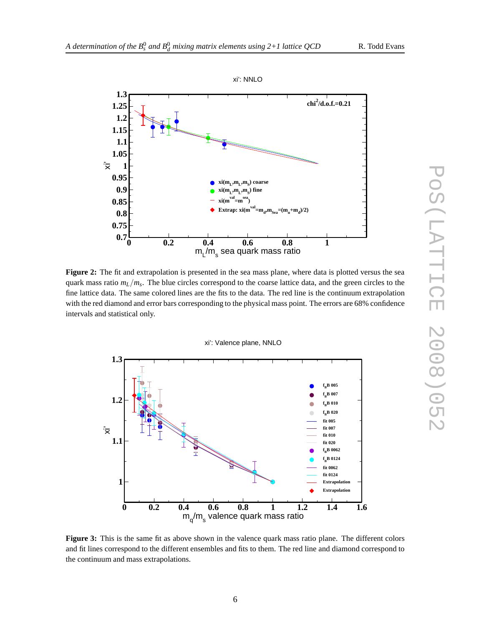**1.2 1.25 1.3**





**Figure 2:** The fit and extrapolation is presented in the sea mass plane, where data is plotted versus the sea quark mass ratio *mL*/*m<sup>s</sup>* . The blue circles correspond to the coarse lattice data, and the green circles to the fine lattice data. The same colored lines are the fits to the data. The red line is the continuum extrapolation with the red diamond and error bars corresponding to the physical mass point. The errors are 68% confidence intervals and statistical only.





**Figure 3:** This is the same fit as above shown in the valence quark mass ratio plane. The different colors and fit lines correspond to the different ensembles and fits to them. The red line and diamond correspond to the continuum and mass extrapolations.